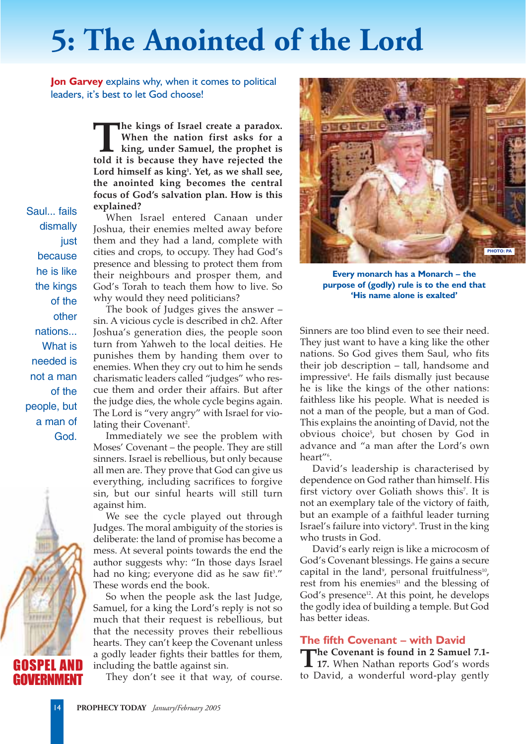## **5: The Anointed of the Lord**

**Jon Garvey** explains why, when it comes to political leaders, it's best to let God choose!

> **The kings of Israel create a paradox.**<br>
> When the nation first asks for a<br>
> king, under Samuel, the prophet is<br>
> told it is because they have rejected the **When the nation first asks for a king, under Samuel, the prophet is Lord himself as king1 . Yet, as we shall see, the anointed king becomes the central focus of God's salvation plan. How is this explained?**

> When Israel entered Canaan under Joshua, their enemies melted away before them and they had a land, complete with cities and crops, to occupy. They had God's presence and blessing to protect them from their neighbours and prosper them, and God's Torah to teach them how to live. So why would they need politicians?

> The book of Judges gives the answer – sin. A vicious cycle is described in ch2. After Joshua's generation dies, the people soon turn from Yahweh to the local deities. He punishes them by handing them over to enemies. When they cry out to him he sends charismatic leaders called "judges" who rescue them and order their affairs. But after the judge dies, the whole cycle begins again. The Lord is "very angry" with Israel for violating their Covenant<sup>2</sup>.

> Immediately we see the problem with Moses' Covenant – the people. They are still sinners. Israel is rebellious, but only because all men are. They prove that God can give us everything, including sacrifices to forgive sin, but our sinful hearts will still turn against him.

> We see the cycle played out through Judges. The moral ambiguity of the stories is deliberate: the land of promise has become a mess. At several points towards the end the author suggests why: "In those days Israel had no king; everyone did as he saw fit<sup>3</sup>." These words end the book.

> So when the people ask the last Judge, Samuel, for a king the Lord's reply is not so much that their request is rebellious, but that the necessity proves their rebellious hearts. They can't keep the Covenant unless a godly leader fights their battles for them, including the battle against sin.

They don't see it that way, of course.



**Every monarch has a Monarch – the purpose of (godly) rule is to the end that 'His name alone is exalted'**

Sinners are too blind even to see their need. They just want to have a king like the other nations. So God gives them Saul, who fits their job description – tall, handsome and impressive4 . He fails dismally just because he is like the kings of the other nations: faithless like his people. What is needed is not a man of the people, but a man of God. This explains the anointing of David, not the obvious choice5 , but chosen by God in advance and "a man after the Lord's own heart"<sup>6</sup>.

David's leadership is characterised by dependence on God rather than himself. His first victory over Goliath shows this<sup>7</sup>. It is not an exemplary tale of the victory of faith, but an example of a faithful leader turning Israel's failure into victory<sup>s</sup>. Trust in the king who trusts in God.

David's early reign is like a microcosm of God's Covenant blessings. He gains a secure capital in the land<sup>9</sup>, personal fruitfulness<sup>10</sup>, rest from his enemies $11$  and the blessing of God's presence<sup>12</sup>. At this point, he develops the godly idea of building a temple. But God has better ideas.

## **The fifth Covenant – with David**

**The Covenant is found in 2 Samuel 7.1- 17.** When Nathan reports God's words to David, a wonderful word-play gently

Saul... fails dismally just because he is like the kings of the other nations... What is needed is not a man of the people, but a man of God.